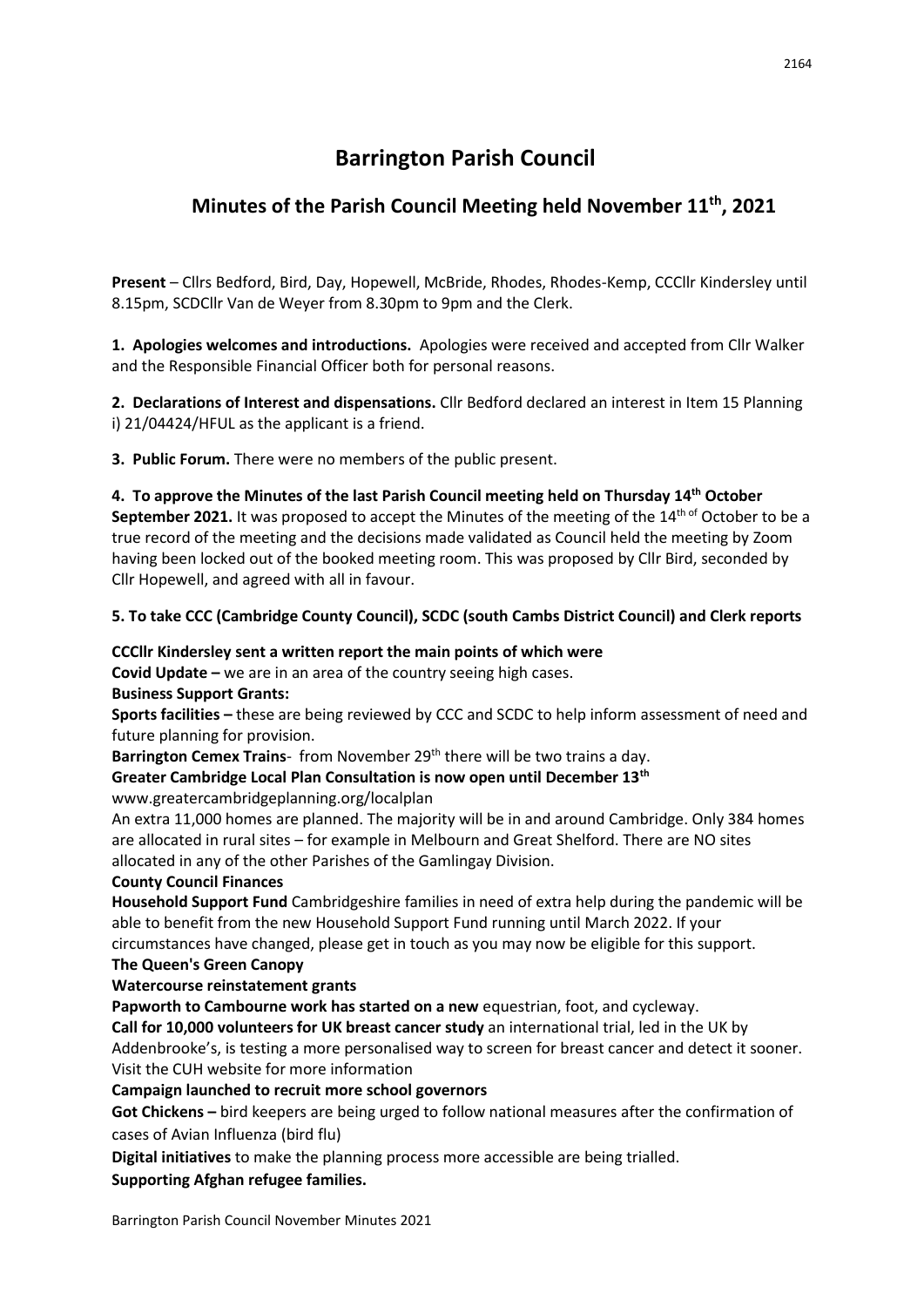# **Barrington Parish Council**

## **Minutes of the Parish Council Meeting held November 11th, 2021**

**Present** – Cllrs Bedford, Bird, Day, Hopewell, McBride, Rhodes, Rhodes-Kemp, CCCllr Kindersley until 8.15pm, SCDCllr Van de Weyer from 8.30pm to 9pm and the Clerk.

**1. Apologies welcomes and introductions.** Apologies were received and accepted from Cllr Walker and the Responsible Financial Officer both for personal reasons.

**2. Declarations of Interest and dispensations.** Cllr Bedford declared an interest in Item 15 Planning i) 21/04424/HFUL as the applicant is a friend.

**3. Public Forum.** There were no members of the public present.

**4. To approve the Minutes of the last Parish Council meeting held on Thursday 14th October**  September 2021. It was proposed to accept the Minutes of the meeting of the 14<sup>th of</sup> October to be a true record of the meeting and the decisions made validated as Council held the meeting by Zoom having been locked out of the booked meeting room. This was proposed by Cllr Bird, seconded by Cllr Hopewell, and agreed with all in favour.

## **5. To take CCC (Cambridge County Council), SCDC (south Cambs District Council) and Clerk reports**

## **CCCllr Kindersley sent a written report the main points of which were**

**Covid Update –** we are in an area of the country seeing high cases.

## **Business Support Grants:**

**Sports facilities –** these are being reviewed by CCC and SCDC to help inform assessment of need and future planning for provision.

Barrington Cemex Trains- from November 29<sup>th</sup> there will be two trains a day.

**Greater Cambridge Local Plan Consultation is now open until December 13th** www.greatercambridgeplanning.org/localplan

An extra 11,000 homes are planned. The majority will be in and around Cambridge. Only 384 homes are allocated in rural sites – for example in Melbourn and Great Shelford. There are NO sites allocated in any of the other Parishes of the Gamlingay Division.

## **County Council Finances**

**Household Support Fund** Cambridgeshire families in need of extra help during the pandemic will be able to benefit from the new Household Support Fund running until March 2022. If your

circumstances have changed, please get in touch as you may now be eligible for this support.

## **The Queen's Green Canopy**

## **Watercourse reinstatement grants**

**Papworth to Cambourne work has started on a new** equestrian, foot, and cycleway.

**Call for 10,000 volunteers for UK breast cancer study** an international trial, led in the UK by Addenbrooke's, is testing a more personalised way to screen for breast cancer and detect it sooner. Visit the CUH website for more information

## **Campaign launched to recruit more school governors**

**Got Chickens –** bird keepers are being urged to follow national measures after the confirmation of cases of Avian Influenza (bird flu)

**Digital initiatives** to make the planning process more accessible are being trialled.

**Supporting Afghan refugee families.**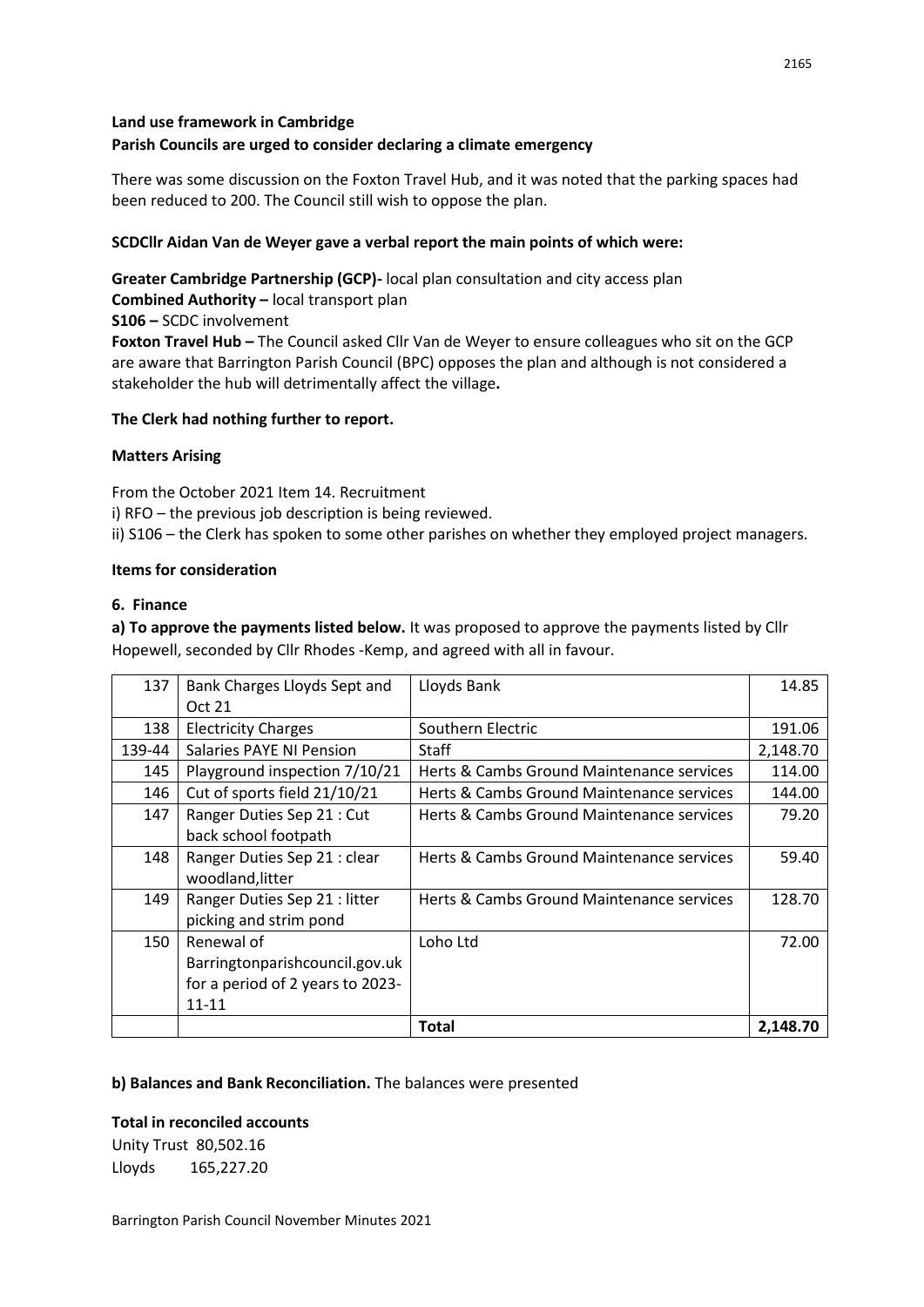## **Land use framework in Cambridge Parish Councils are urged to consider declaring a climate emergency**

There was some discussion on the Foxton Travel Hub, and it was noted that the parking spaces had been reduced to 200. The Council still wish to oppose the plan.

### **SCDCllr Aidan Van de Weyer gave a verbal report the main points of which were:**

**Greater Cambridge Partnership (GCP)-** local plan consultation and city access plan **Combined Authority –** local transport plan **S106 –** SCDC involvement **Foxton Travel Hub –** The Council asked Cllr Van de Weyer to ensure colleagues who sit on the GCP

are aware that Barrington Parish Council (BPC) opposes the plan and although is not considered a stakeholder the hub will detrimentally affect the village**.** 

#### **The Clerk had nothing further to report.**

#### **Matters Arising**

From the October 2021 Item 14. Recruitment

i) RFO – the previous job description is being reviewed.

ii) S106 – the Clerk has spoken to some other parishes on whether they employed project managers.

#### **Items for consideration**

#### **6. Finance**

**a) To approve the payments listed below.** It was proposed to approve the payments listed by Cllr Hopewell, seconded by Cllr Rhodes -Kemp, and agreed with all in favour.

| 137    | Bank Charges Lloyds Sept and     | Lloyds Bank                               | 14.85    |
|--------|----------------------------------|-------------------------------------------|----------|
|        | Oct 21                           |                                           |          |
| 138    | <b>Electricity Charges</b>       | Southern Electric                         | 191.06   |
| 139-44 | Salaries PAYE NI Pension         | Staff                                     | 2,148.70 |
| 145    | Playground inspection 7/10/21    | Herts & Cambs Ground Maintenance services | 114.00   |
| 146    | Cut of sports field 21/10/21     | Herts & Cambs Ground Maintenance services | 144.00   |
| 147    | Ranger Duties Sep 21 : Cut       | Herts & Cambs Ground Maintenance services | 79.20    |
|        | back school footpath             |                                           |          |
| 148    | Ranger Duties Sep 21 : clear     | Herts & Cambs Ground Maintenance services | 59.40    |
|        | woodland, litter                 |                                           |          |
| 149    | Ranger Duties Sep 21 : litter    | Herts & Cambs Ground Maintenance services | 128.70   |
|        | picking and strim pond           |                                           |          |
| 150    | Renewal of                       | Loho Ltd                                  | 72.00    |
|        | Barringtonparishcouncil.gov.uk   |                                           |          |
|        | for a period of 2 years to 2023- |                                           |          |
|        | $11 - 11$                        |                                           |          |
|        |                                  | Total                                     | 2.148.70 |

#### **b) Balances and Bank Reconciliation.** The balances were presented

## **Total in reconciled accounts**

Unity Trust 80,502.16 Lloyds 165,227.20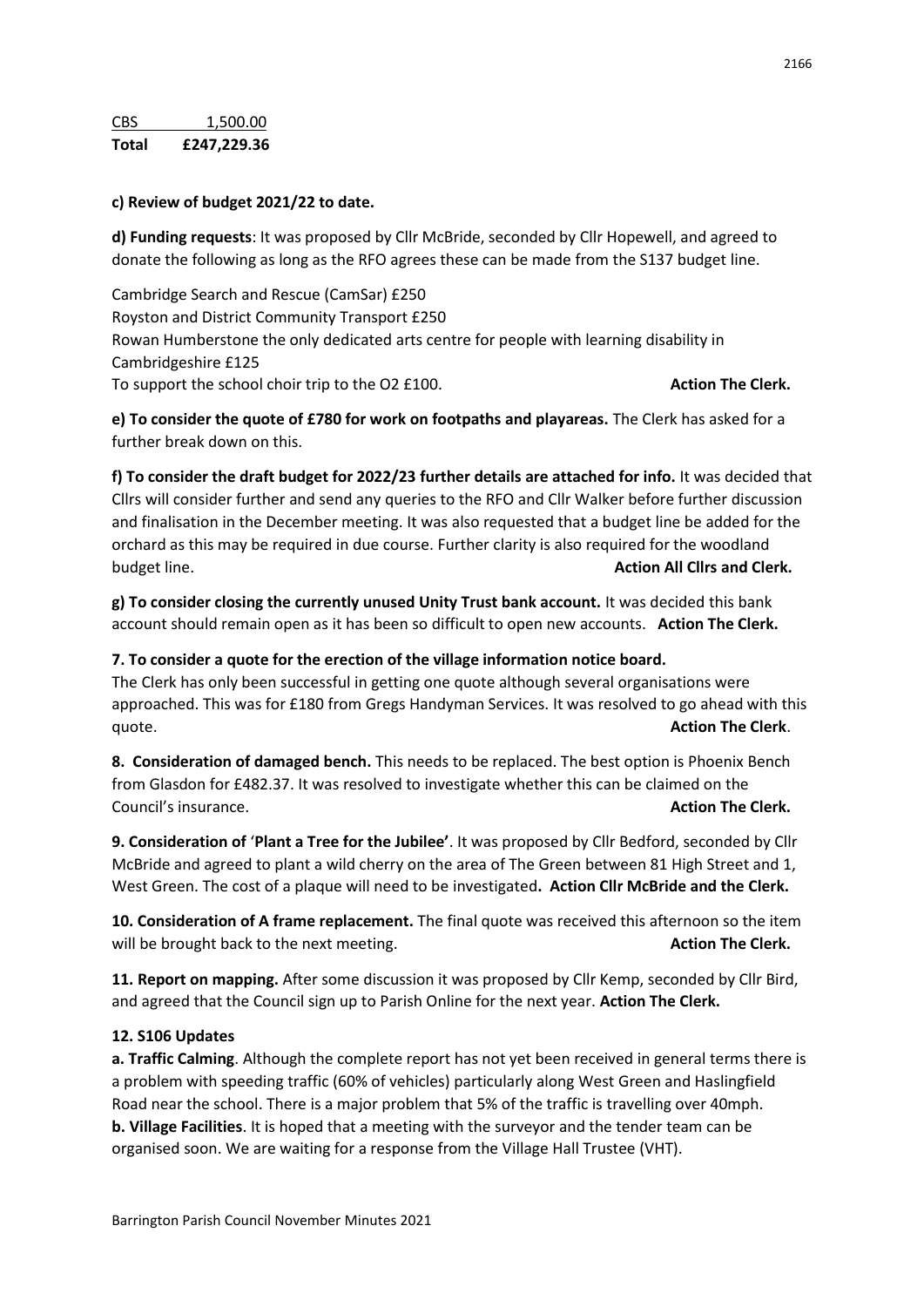#### **c) Review of budget 2021/22 to date.**

**d) Funding requests**: It was proposed by Cllr McBride, seconded by Cllr Hopewell, and agreed to donate the following as long as the RFO agrees these can be made from the S137 budget line.

Cambridge Search and Rescue (CamSar) £250 Royston and District Community Transport £250 Rowan Humberstone the only dedicated arts centre for people with learning disability in Cambridgeshire £125 To support the school choir trip to the O2 £100. **Action The Clerk. Action The Clerk. Action The Clerk.** 

**e) To consider the quote of £780 for work on footpaths and playareas.** The Clerk has asked for a further break down on this.

**f) To consider the draft budget for 2022/23 further details are attached for info.** It was decided that Cllrs will consider further and send any queries to the RFO and Cllr Walker before further discussion and finalisation in the December meeting. It was also requested that a budget line be added for the orchard as this may be required in due course. Further clarity is also required for the woodland budget line. **Action All Cllrs and Clerk.**

**g) To consider closing the currently unused Unity Trust bank account.** It was decided this bank account should remain open as it has been so difficult to open new accounts. **Action The Clerk.** 

#### **7. To consider a quote for the erection of the village information notice board.**

The Clerk has only been successful in getting one quote although several organisations were approached. This was for £180 from Gregs Handyman Services. It was resolved to go ahead with this quote. **Action The Clerk**.

**8. Consideration of damaged bench.** This needs to be replaced. The best option is Phoenix Bench from Glasdon for £482.37. It was resolved to investigate whether this can be claimed on the Council's insurance. **Action The Clerk.**

**9. Consideration of** '**Plant a Tree for the Jubilee'**. It was proposed by Cllr Bedford, seconded by Cllr McBride and agreed to plant a wild cherry on the area of The Green between 81 High Street and 1, West Green. The cost of a plaque will need to be investigated**. Action Cllr McBride and the Clerk.**

**10. Consideration of A frame replacement.** The final quote was received this afternoon so the item will be brought back to the next meeting. **Action The Clerk. Action The Clerk. Action The Clerk.** 

**11. Report on mapping.** After some discussion it was proposed by Cllr Kemp, seconded by Cllr Bird, and agreed that the Council sign up to Parish Online for the next year. **Action The Clerk.**

#### **12. S106 Updates**

**a. Traffic Calming**. Although the complete report has not yet been received in general terms there is a problem with speeding traffic (60% of vehicles) particularly along West Green and Haslingfield Road near the school. There is a major problem that 5% of the traffic is travelling over 40mph. **b. Village Facilities**. It is hoped that a meeting with the surveyor and the tender team can be organised soon. We are waiting for a response from the Village Hall Trustee (VHT).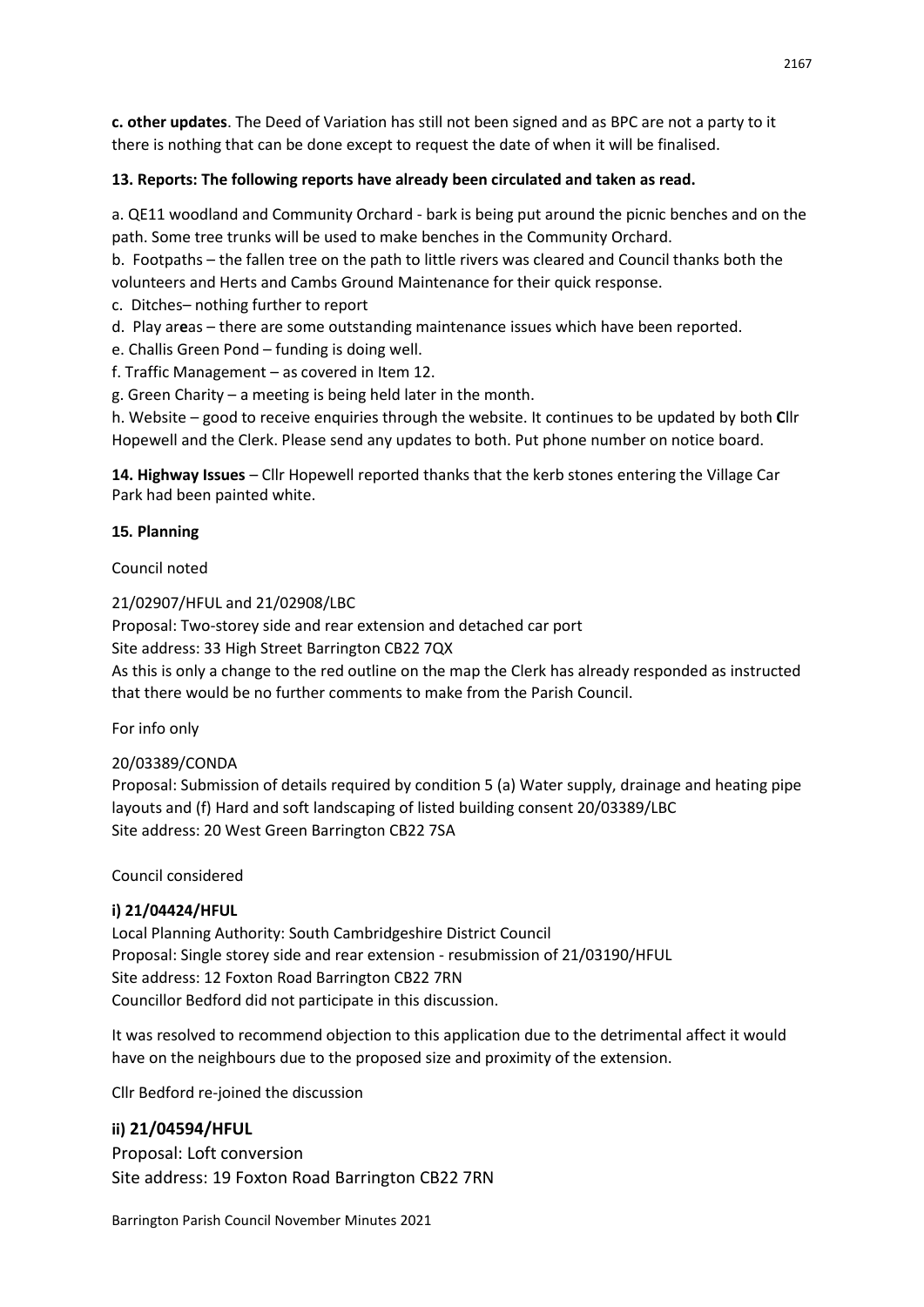**c. other updates**. The Deed of Variation has still not been signed and as BPC are not a party to it there is nothing that can be done except to request the date of when it will be finalised.

## **13. Reports: The following reports have already been circulated and taken as read.**

a. QE11 woodland and Community Orchard - bark is being put around the picnic benches and on the path. Some tree trunks will be used to make benches in the Community Orchard.

b. Footpaths – the fallen tree on the path to little rivers was cleared and Council thanks both the volunteers and Herts and Cambs Ground Maintenance for their quick response.

c. Ditches– nothing further to report

d. Play ar**e**as – there are some outstanding maintenance issues which have been reported.

e. Challis Green Pond – funding is doing well.

f. Traffic Management – as covered in Item 12.

g. Green Charity – a meeting is being held later in the month.

h. Website – good to receive enquiries through the website. It continues to be updated by both **C**llr Hopewell and the Clerk. Please send any updates to both. Put phone number on notice board.

**14. Highway Issues** – Cllr Hopewell reported thanks that the kerb stones entering the Village Car Park had been painted white.

#### **15. Planning**

#### Council noted

21/02907/HFUL and 21/02908/LBC

Proposal: Two-storey side and rear extension and detached car port

Site address: 33 High Street Barrington CB22 7QX

As this is only a change to the red outline on the map the Clerk has already responded as instructed that there would be no further comments to make from the Parish Council.

For info only

## 20/03389/CONDA

Proposal: Submission of details required by condition 5 (a) Water supply, drainage and heating pipe layouts and (f) Hard and soft landscaping of listed building consent 20/03389/LBC Site address: 20 West Green Barrington CB22 7SA

Council considered

## **i) 21/04424/HFUL**

Local Planning Authority: South Cambridgeshire District Council Proposal: Single storey side and rear extension - resubmission of 21/03190/HFUL Site address: 12 Foxton Road Barrington CB22 7RN Councillor Bedford did not participate in this discussion.

It was resolved to recommend objection to this application due to the detrimental affect it would have on the neighbours due to the proposed size and proximity of the extension.

Cllr Bedford re-joined the discussion

## **ii) 21/04594/HFUL**

Proposal: Loft conversion Site address: 19 Foxton Road Barrington CB22 7RN

Barrington Parish Council November Minutes 2021